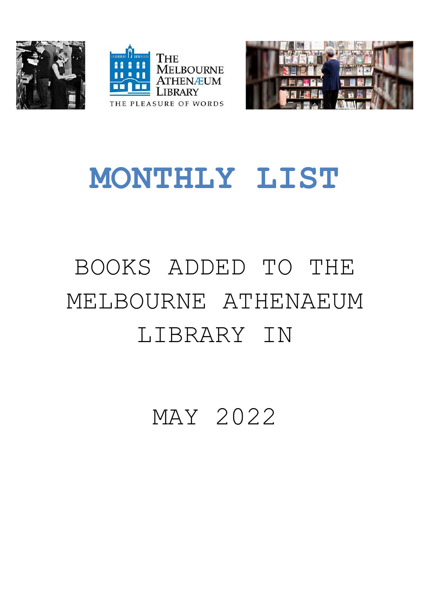





## **MONTHLY LIST**

## BOOKS ADDED TO THE MELBOURNE ATHENAEUM LIBRARY IN

MAY 2022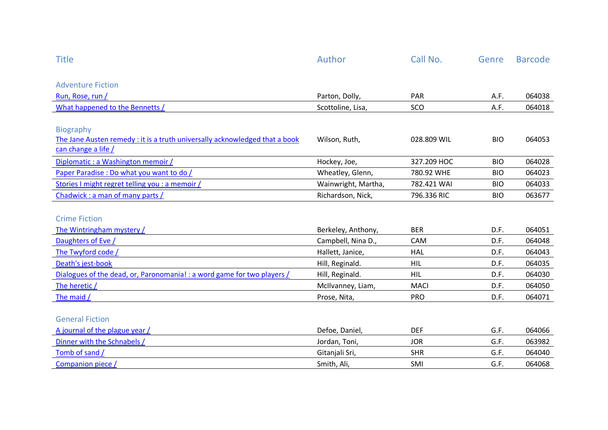| <b>Title</b>                                                                | Author              | Call No.    | Genre      | <b>Barcode</b> |
|-----------------------------------------------------------------------------|---------------------|-------------|------------|----------------|
|                                                                             |                     |             |            |                |
| <b>Adventure Fiction</b>                                                    |                     |             |            |                |
| Run, Rose, run /                                                            | Parton, Dolly,      | PAR         | A.F.       | 064038         |
| What happened to the Bennetts /                                             | Scottoline, Lisa,   | SCO         | A.F.       | 064018         |
|                                                                             |                     |             |            |                |
| <b>Biography</b>                                                            |                     |             |            |                |
| The Jane Austen remedy : it is a truth universally acknowledged that a book | Wilson, Ruth,       | 028.809 WIL | <b>BIO</b> | 064053         |
| can change a life /                                                         |                     |             |            |                |
| Diplomatic : a Washington memoir /                                          | Hockey, Joe,        | 327.209 HOC | <b>BIO</b> | 064028         |
| Paper Paradise : Do what you want to do /                                   | Wheatley, Glenn,    | 780.92 WHE  | <b>BIO</b> | 064023         |
| Stories I might regret telling you : a memoir /                             | Wainwright, Martha, | 782.421 WAI | <b>BIO</b> | 064033         |
| Chadwick: a man of many parts /                                             | Richardson, Nick,   | 796.336 RIC | <b>BIO</b> | 063677         |
|                                                                             |                     |             |            |                |
| <b>Crime Fiction</b>                                                        |                     |             |            |                |
| The Wintringham mystery /                                                   | Berkeley, Anthony,  | <b>BER</b>  | D.F.       | 064051         |
| Daughters of Eve /                                                          | Campbell, Nina D.,  | CAM         | D.F.       | 064048         |
| The Twyford code /                                                          | Hallett, Janice,    | <b>HAL</b>  | D.F.       | 064043         |
| Death's jest-book                                                           | Hill, Reginald.     | HIL         | D.F.       | 064035         |
| Dialogues of the dead, or, Paronomania! : a word game for two players /     | Hill, Reginald.     | <b>HIL</b>  | D.F.       | 064030         |
| The heretic /                                                               | McIlvanney, Liam,   | <b>MACI</b> | D.F.       | 064050         |
| The maid /                                                                  | Prose, Nita,        | <b>PRO</b>  | D.F.       | 064071         |
|                                                                             |                     |             |            |                |
| <b>General Fiction</b>                                                      |                     |             |            |                |
| A journal of the plague year /                                              | Defoe, Daniel,      | <b>DEF</b>  | G.F.       | 064066         |
| Dinner with the Schnabels /                                                 | Jordan, Toni,       | <b>JOR</b>  | G.F.       | 063982         |
| Tomb of sand /                                                              | Gitanjali Sri,      | <b>SHR</b>  | G.F.       | 064040         |
| Companion piece /                                                           | Smith, Ali,         | SMI         | G.F.       | 064068         |
|                                                                             |                     |             |            |                |